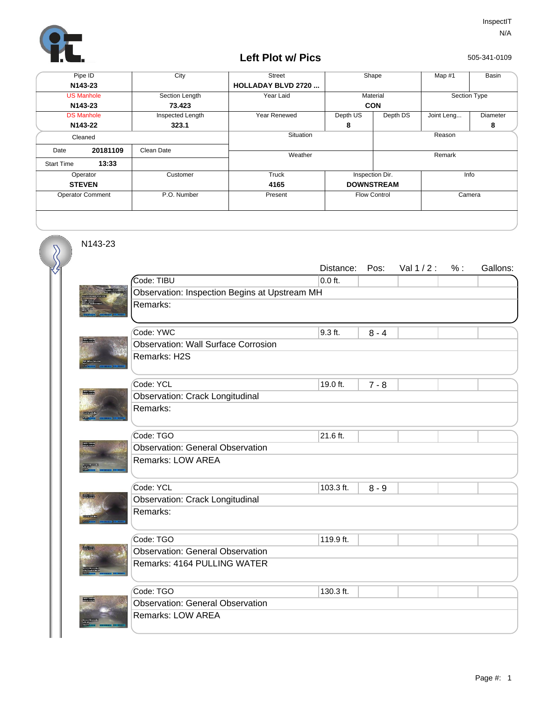

## **Left Plot w/ Pics**

505-341-0109

| Pipe ID                 |          | City             | <b>Street</b>              | Shape             |                               | Map #1       | Basin    |  |
|-------------------------|----------|------------------|----------------------------|-------------------|-------------------------------|--------------|----------|--|
| N143-23                 |          |                  | <b>HOLLADAY BLVD 2720 </b> |                   |                               |              |          |  |
| <b>US Manhole</b>       |          | Section Length   | Year Laid                  | Material          |                               | Section Type |          |  |
| N143-23                 |          | 73.423           |                            | <b>CON</b>        |                               |              |          |  |
| <b>DS Manhole</b>       |          | Inspected Length | Year Renewed               | Depth US          | Depth DS                      | Joint Leng   | Diameter |  |
| N143-22                 |          | 323.1            |                            | 8                 |                               |              | 8        |  |
| Cleaned                 |          |                  | Situation                  | Reason            |                               |              |          |  |
| Date                    | 20181109 | Clean Date       |                            |                   |                               |              |          |  |
|                         |          |                  | Weather                    |                   |                               | Remark       |          |  |
| <b>Start Time</b>       | 13:33    |                  |                            |                   |                               |              |          |  |
| Operator                |          | Customer         | Truck                      |                   | Inspection Dir.<br>Info       |              |          |  |
| <b>STEVEN</b>           |          |                  | 4165                       | <b>DOWNSTREAM</b> |                               |              |          |  |
| <b>Operator Comment</b> |          | P.O. Number      | Present                    |                   | <b>Flow Control</b><br>Camera |              |          |  |
|                         |          |                  |                            |                   |                               |              |          |  |

N143-23

 $\delta$ 

|             |                                               | Distance: | Pos:    | Val $1/2$ : | % : | Gallons: |  |  |  |
|-------------|-----------------------------------------------|-----------|---------|-------------|-----|----------|--|--|--|
|             | Code: TIBU                                    | $0.0$ ft. |         |             |     |          |  |  |  |
|             | Observation: Inspection Begins at Upstream MH |           |         |             |     |          |  |  |  |
|             | Remarks:                                      |           |         |             |     |          |  |  |  |
|             |                                               |           |         |             |     |          |  |  |  |
|             | Code: YWC                                     | 9.3 ft.   | $8 - 4$ |             |     |          |  |  |  |
| <b>TANK</b> | <b>Observation: Wall Surface Corrosion</b>    |           |         |             |     |          |  |  |  |
|             | Remarks: H2S                                  |           |         |             |     |          |  |  |  |
|             | Code: YCL                                     | 19.0 ft.  | $7 - 8$ |             |     |          |  |  |  |
|             | <b>Observation: Crack Longitudinal</b>        |           |         |             |     |          |  |  |  |
|             | Remarks:                                      |           |         |             |     |          |  |  |  |
|             |                                               |           |         |             |     |          |  |  |  |
|             | Code: TGO                                     | 21.6 ft.  |         |             |     |          |  |  |  |
|             | <b>Observation: General Observation</b>       |           |         |             |     |          |  |  |  |
|             | Remarks: LOW AREA                             |           |         |             |     |          |  |  |  |
|             |                                               |           |         |             |     |          |  |  |  |
|             | Code: YCL                                     | 103.3 ft. | $8 - 9$ |             |     |          |  |  |  |
|             | <b>Observation: Crack Longitudinal</b>        |           |         |             |     |          |  |  |  |
|             | Remarks:                                      |           |         |             |     |          |  |  |  |
|             |                                               |           |         |             |     |          |  |  |  |
|             | Code: TGO                                     | 119.9 ft. |         |             |     |          |  |  |  |
|             | <b>Observation: General Observation</b>       |           |         |             |     |          |  |  |  |
|             | Remarks: 4164 PULLING WATER                   |           |         |             |     |          |  |  |  |
|             |                                               |           |         |             |     |          |  |  |  |
|             | Code: TGO                                     | 130.3 ft. |         |             |     |          |  |  |  |
|             | <b>Observation: General Observation</b>       |           |         |             |     |          |  |  |  |
|             | <b>Remarks: LOW AREA</b>                      |           |         |             |     |          |  |  |  |
|             |                                               |           |         |             |     |          |  |  |  |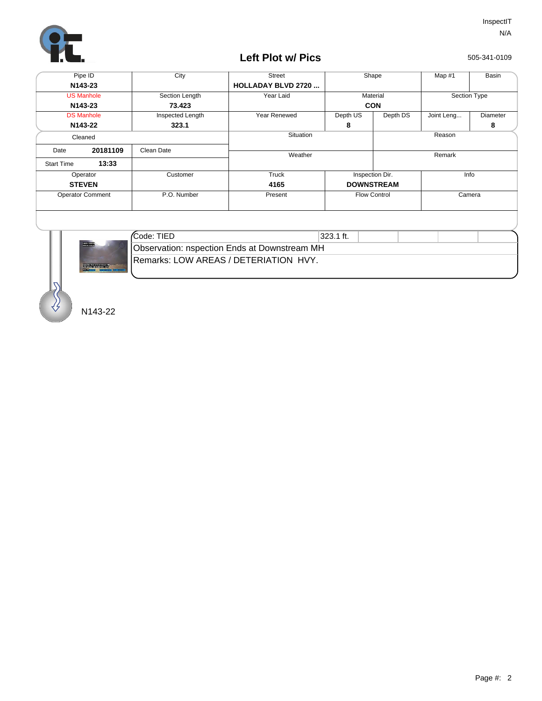

## **Left Plot w/ Pics**

505-341-0109

| Pipe ID                 |          | City             | <b>Street</b>              | Shape               |                         | Map #1       | Basin    |  |
|-------------------------|----------|------------------|----------------------------|---------------------|-------------------------|--------------|----------|--|
| N <sub>143</sub> -23    |          |                  | <b>HOLLADAY BLVD 2720 </b> |                     |                         |              |          |  |
| <b>US Manhole</b>       |          | Section Length   | Year Laid                  | Material            |                         | Section Type |          |  |
| N143-23                 |          | 73.423           |                            | <b>CON</b>          |                         |              |          |  |
| <b>DS Manhole</b>       |          | Inspected Length | Year Renewed               | Depth US            | Depth DS                | Joint Leng   | Diameter |  |
| N143-22                 |          | 323.1            |                            | 8                   |                         |              | 8        |  |
| Cleaned                 |          |                  | Situation                  |                     |                         | Reason       |          |  |
| Date                    | 20181109 | Clean Date       |                            |                     |                         |              |          |  |
|                         |          |                  | Weather                    |                     |                         | Remark       |          |  |
| <b>Start Time</b>       | 13:33    |                  |                            |                     |                         |              |          |  |
| Operator                |          | Customer         | Truck                      |                     | Info<br>Inspection Dir. |              |          |  |
| <b>STEVEN</b>           |          |                  | 4165                       | <b>DOWNSTREAM</b>   |                         |              |          |  |
| <b>Operator Comment</b> |          | P.O. Number      | Present                    | <b>Flow Control</b> |                         | Camera       |          |  |
|                         |          |                  |                            |                     |                         |              |          |  |
|                         |          |                  |                            |                     |                         |              |          |  |
|                         |          |                  |                            |                     |                         |              |          |  |



| Code: TIED                                          | 323.1 ft. |  |  |  |  |  |  |  |
|-----------------------------------------------------|-----------|--|--|--|--|--|--|--|
| <b>Observation: nspection Ends at Downstream MH</b> |           |  |  |  |  |  |  |  |
| <b>Hemarks: LOW AREAS / DETERIATION HVY.</b>        |           |  |  |  |  |  |  |  |

N143-22

S<br>S